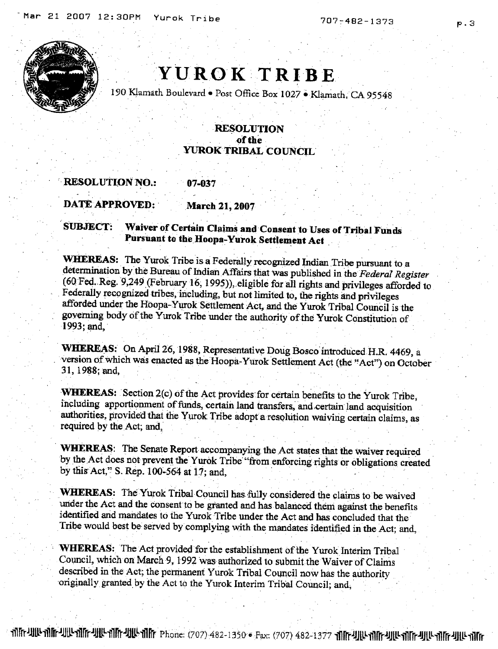707-482-1373



## YUROK TRIBE

190 Klamath Boulevard . Post Office Box 1027 . Klamath, CA 95548

## **RESOLUTION** of the **YUROK TRIBAL COUNCIL**

**RESOLUTION NO.:** 07-037

**DATE APPROVED: March 21, 2007** 

Waiver of Certain Claims and Consent to Uses of Tribal Funds **SUBJECT:** Pursuant to the Hoopa-Yurok Settlement Act

WHEREAS: The Yurok Tribe is a Federally recognized Indian Tribe pursuant to a determination by the Bureau of Indian Affairs that was published in the Federal Register (60 Fed. Reg. 9,249 (February 16, 1995)), eligible for all rights and privileges afforded to Federally recognized tribes, including, but not limited to, the rights and privileges afforded under the Hoopa-Yurok Settlement Act, and the Yurok Tribal Council is the governing body of the Yurok Tribe under the authority of the Yurok Constitution of 1993; and.

WHEREAS: On April 26, 1988, Representative Doug Bosco introduced H.R. 4469, a version of which was enacted as the Hoopa-Yurok Settlement Act (the "Act") on October 31, 1988; and,

**WHEREAS:** Section 2(c) of the Act provides for certain benefits to the Yurok Tribe, including apportionment of funds, certain land transfers, and certain land acquisition authorities, provided that the Yurok Tribe adopt a resolution waiving certain claims, as required by the Act; and,

WHEREAS: The Senate Report accompanying the Act states that the waiver required by the Act does not prevent the Yurok Tribe "from enforcing rights or obligations created by this Act," S. Rep. 100-564 at 17; and,

WHEREAS: The Yurok Tribal Council has fully considered the claims to be waived under the Act and the consent to be granted and has balanced them against the benefits identified and mandates to the Yurok Tribe under the Act and has concluded that the Tribe would best be served by complying with the mandates identified in the Act; and,

WHEREAS: The Act provided for the establishment of the Yurok Interim Tribal Council, which on March 9, 1992 was authorized to submit the Waiver of Claims described in the Act; the permanent Yurok Tribal Council now has the authority originally granted by the Act to the Yurok Interim Tribal Council; and,

Thr 410 Thr 410 Thr 410 Thr 410 Thr Phone: (707) 482-1350 · Fax: (707) 482-1377 Thr 410 Thr 410 Thr 410 Thr 410 Thr